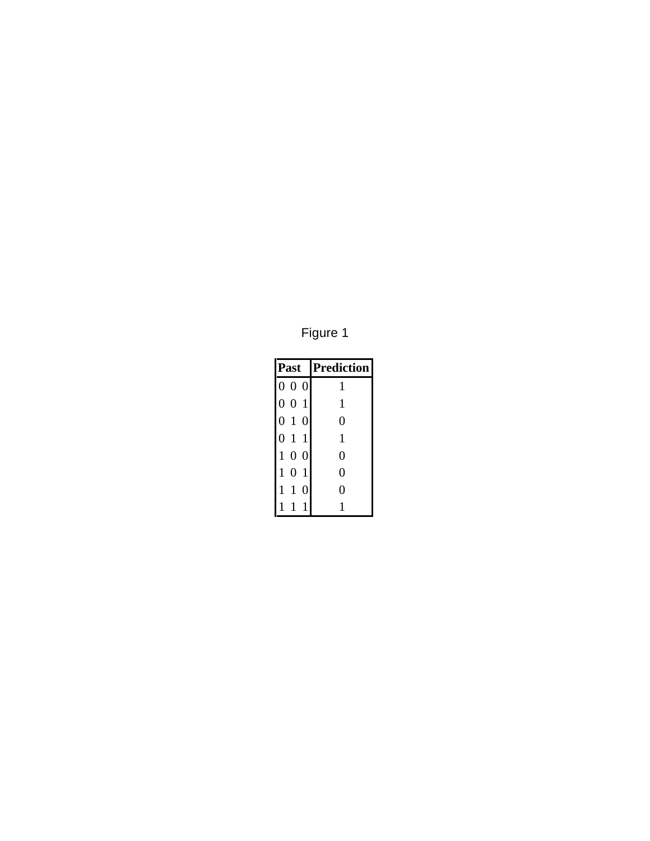Figure 1

| Past                              | <b>Prediction</b> |
|-----------------------------------|-------------------|
| 000                               | 1                 |
| 0 0 1                             | $\mathbf{1}$      |
| 010                               | 0                 |
| 1 1<br>0                          | 1                 |
| 100                               | 0                 |
| $\mathbf{1}$<br>$\mathbf{1}$<br>0 | 0                 |
| 1<br>1<br>$\overline{0}$          | 0                 |
|                                   |                   |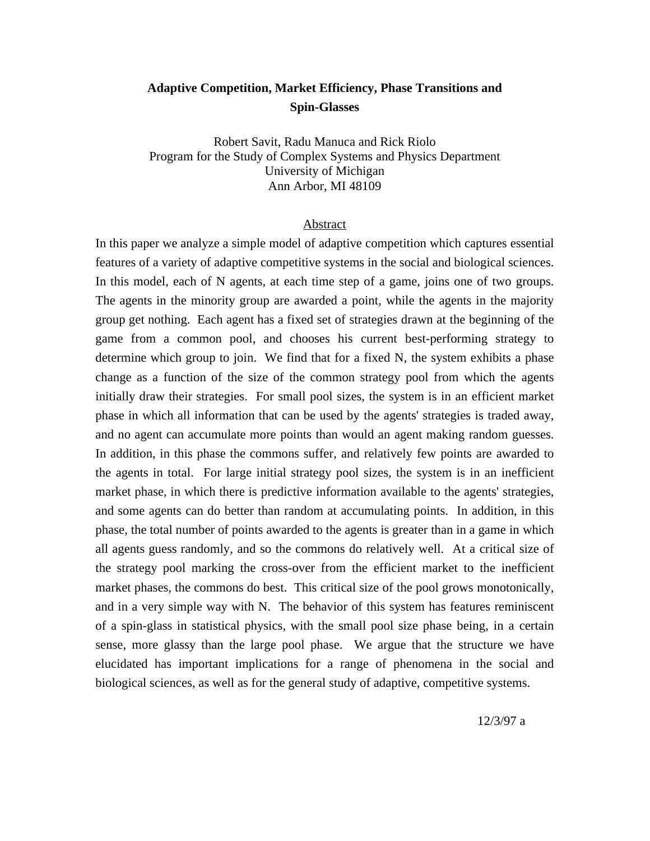# **Adaptive Competition, Market Efficiency, Phase Transitions and Spin-Glasses**

Robert Savit, Radu Manuca and Rick Riolo Program for the Study of Complex Systems and Physics Department University of Michigan Ann Arbor, MI 48109

### Abstract

In this paper we analyze a simple model of adaptive competition which captures essential features of a variety of adaptive competitive systems in the social and biological sciences. In this model, each of N agents, at each time step of a game, joins one of two groups. The agents in the minority group are awarded a point, while the agents in the majority group get nothing. Each agent has a fixed set of strategies drawn at the beginning of the game from a common pool, and chooses his current best-performing strategy to determine which group to join. We find that for a fixed N, the system exhibits a phase change as a function of the size of the common strategy pool from which the agents initially draw their strategies. For small pool sizes, the system is in an efficient market phase in which all information that can be used by the agents' strategies is traded away, and no agent can accumulate more points than would an agent making random guesses. In addition, in this phase the commons suffer, and relatively few points are awarded to the agents in total. For large initial strategy pool sizes, the system is in an inefficient market phase, in which there is predictive information available to the agents' strategies, and some agents can do better than random at accumulating points. In addition, in this phase, the total number of points awarded to the agents is greater than in a game in which all agents guess randomly, and so the commons do relatively well. At a critical size of the strategy pool marking the cross-over from the efficient market to the inefficient market phases, the commons do best. This critical size of the pool grows monotonically, and in a very simple way with N. The behavior of this system has features reminiscent of a spin-glass in statistical physics, with the small pool size phase being, in a certain sense, more glassy than the large pool phase. We argue that the structure we have elucidated has important implications for a range of phenomena in the social and biological sciences, as well as for the general study of adaptive, competitive systems.

12/3/97 a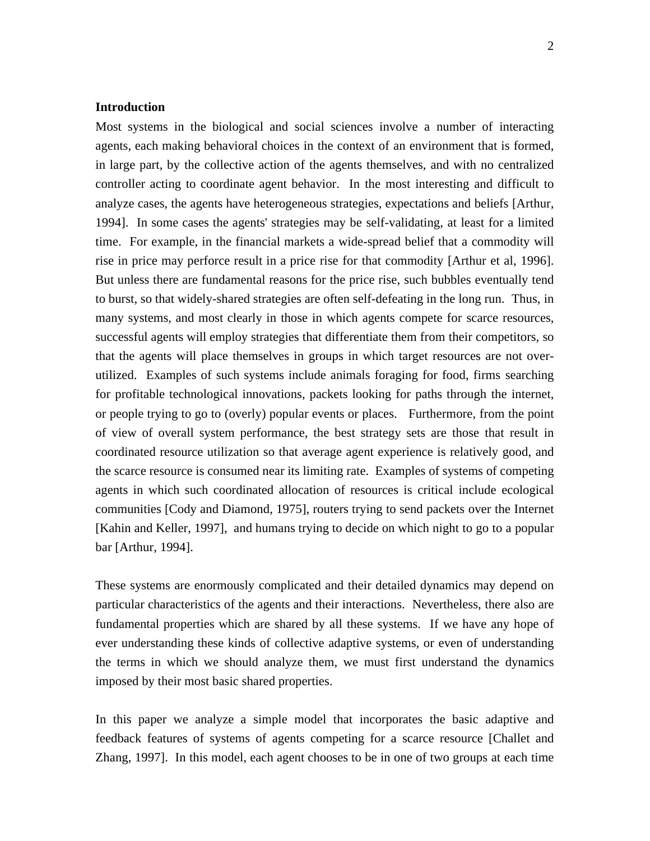# **Introduction**

Most systems in the biological and social sciences involve a number of interacting agents, each making behavioral choices in the context of an environment that is formed, in large part, by the collective action of the agents themselves, and with no centralized controller acting to coordinate agent behavior. In the most interesting and difficult to analyze cases, the agents have heterogeneous strategies, expectations and beliefs [Arthur, 1994]. In some cases the agents' strategies may be self-validating, at least for a limited time. For example, in the financial markets a wide-spread belief that a commodity will rise in price may perforce result in a price rise for that commodity [Arthur et al, 1996]. But unless there are fundamental reasons for the price rise, such bubbles eventually tend to burst, so that widely-shared strategies are often self-defeating in the long run. Thus, in many systems, and most clearly in those in which agents compete for scarce resources, successful agents will employ strategies that differentiate them from their competitors, so that the agents will place themselves in groups in which target resources are not overutilized. Examples of such systems include animals foraging for food, firms searching for profitable technological innovations, packets looking for paths through the internet, or people trying to go to (overly) popular events or places. Furthermore, from the point of view of overall system performance, the best strategy sets are those that result in coordinated resource utilization so that average agent experience is relatively good, and the scarce resource is consumed near its limiting rate. Examples of systems of competing agents in which such coordinated allocation of resources is critical include ecological communities [Cody and Diamond, 1975], routers trying to send packets over the Internet [Kahin and Keller, 1997], and humans trying to decide on which night to go to a popular bar [Arthur, 1994].

These systems are enormously complicated and their detailed dynamics may depend on particular characteristics of the agents and their interactions. Nevertheless, there also are fundamental properties which are shared by all these systems. If we have any hope of ever understanding these kinds of collective adaptive systems, or even of understanding the terms in which we should analyze them, we must first understand the dynamics imposed by their most basic shared properties.

In this paper we analyze a simple model that incorporates the basic adaptive and feedback features of systems of agents competing for a scarce resource [Challet and Zhang, 1997]. In this model, each agent chooses to be in one of two groups at each time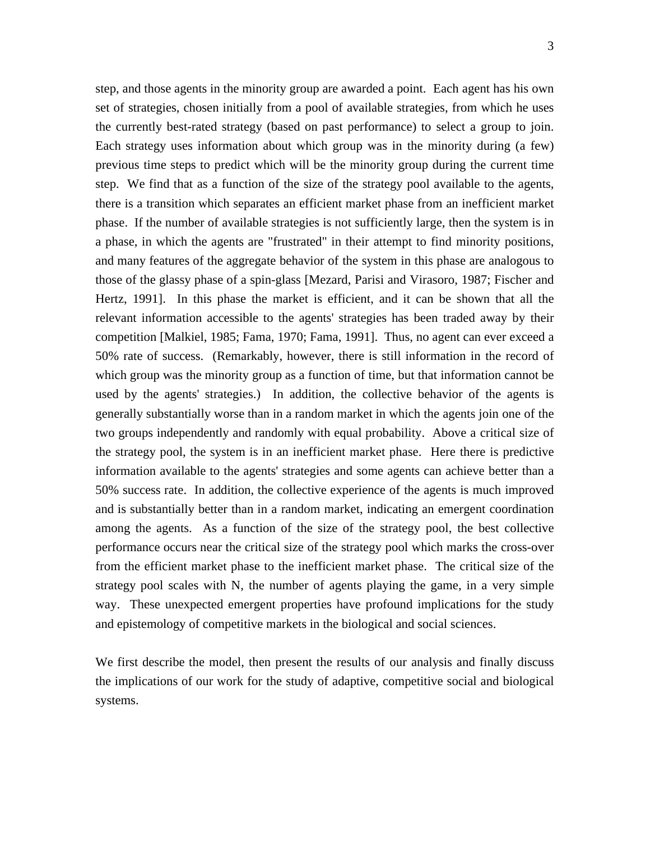step, and those agents in the minority group are awarded a point. Each agent has his own set of strategies, chosen initially from a pool of available strategies, from which he uses the currently best-rated strategy (based on past performance) to select a group to join. Each strategy uses information about which group was in the minority during (a few) previous time steps to predict which will be the minority group during the current time step. We find that as a function of the size of the strategy pool available to the agents, there is a transition which separates an efficient market phase from an inefficient market phase. If the number of available strategies is not sufficiently large, then the system is in a phase, in which the agents are "frustrated" in their attempt to find minority positions, and many features of the aggregate behavior of the system in this phase are analogous to those of the glassy phase of a spin-glass [Mezard, Parisi and Virasoro, 1987; Fischer and Hertz, 1991]. In this phase the market is efficient, and it can be shown that all the relevant information accessible to the agents' strategies has been traded away by their competition [Malkiel, 1985; Fama, 1970; Fama, 1991]. Thus, no agent can ever exceed a 50% rate of success. (Remarkably, however, there is still information in the record of which group was the minority group as a function of time, but that information cannot be used by the agents' strategies.) In addition, the collective behavior of the agents is generally substantially worse than in a random market in which the agents join one of the two groups independently and randomly with equal probability. Above a critical size of the strategy pool, the system is in an inefficient market phase. Here there is predictive information available to the agents' strategies and some agents can achieve better than a 50% success rate. In addition, the collective experience of the agents is much improved and is substantially better than in a random market, indicating an emergent coordination among the agents. As a function of the size of the strategy pool, the best collective performance occurs near the critical size of the strategy pool which marks the cross-over from the efficient market phase to the inefficient market phase. The critical size of the strategy pool scales with N, the number of agents playing the game, in a very simple way. These unexpected emergent properties have profound implications for the study and epistemology of competitive markets in the biological and social sciences.

We first describe the model, then present the results of our analysis and finally discuss the implications of our work for the study of adaptive, competitive social and biological systems.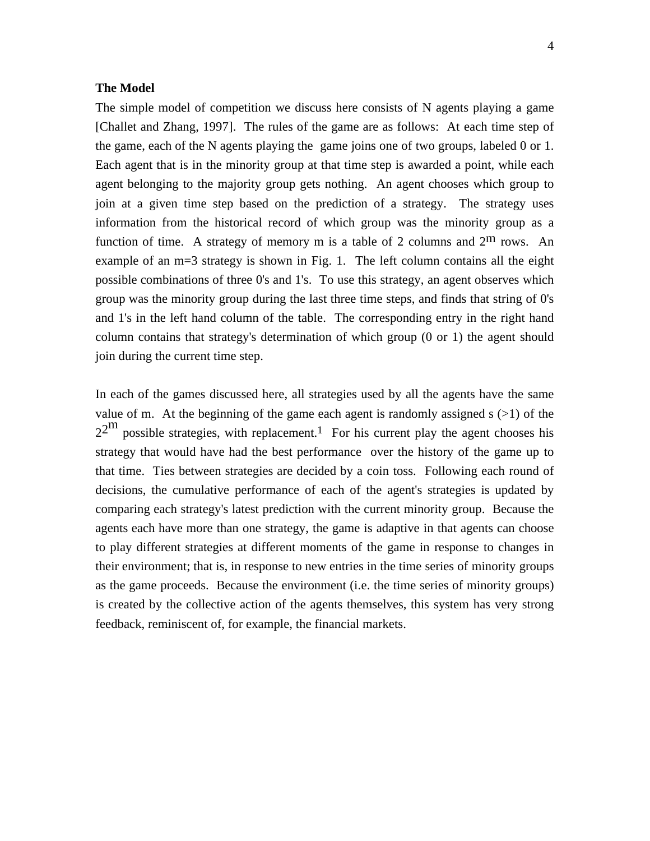## **The Model**

The simple model of competition we discuss here consists of N agents playing a game [Challet and Zhang, 1997]. The rules of the game are as follows: At each time step of the game, each of the N agents playing the game joins one of two groups, labeled 0 or 1. Each agent that is in the minority group at that time step is awarded a point, while each agent belonging to the majority group gets nothing. An agent chooses which group to join at a given time step based on the prediction of a strategy. The strategy uses information from the historical record of which group was the minority group as a function of time. A strategy of memory m is a table of 2 columns and  $2<sup>m</sup>$  rows. An example of an m=3 strategy is shown in Fig. 1. The left column contains all the eight possible combinations of three 0's and 1's. To use this strategy, an agent observes which group was the minority group during the last three time steps, and finds that string of 0's and 1's in the left hand column of the table. The corresponding entry in the right hand column contains that strategy's determination of which group (0 or 1) the agent should join during the current time step.

In each of the games discussed here, all strategies used by all the agents have the same value of m. At the beginning of the game each agent is randomly assigned  $s$  ( $>1$ ) of the  $2^{2^{\text{m}}}$  possible strategies, with replacement.<sup>1</sup> For his current play the agent chooses his strategy that would have had the best performance over the history of the game up to that time. Ties between strategies are decided by a coin toss. Following each round of decisions, the cumulative performance of each of the agent's strategies is updated by comparing each strategy's latest prediction with the current minority group. Because the agents each have more than one strategy, the game is adaptive in that agents can choose to play different strategies at different moments of the game in response to changes in their environment; that is, in response to new entries in the time series of minority groups as the game proceeds. Because the environment (i.e. the time series of minority groups) is created by the collective action of the agents themselves, this system has very strong feedback, reminiscent of, for example, the financial markets.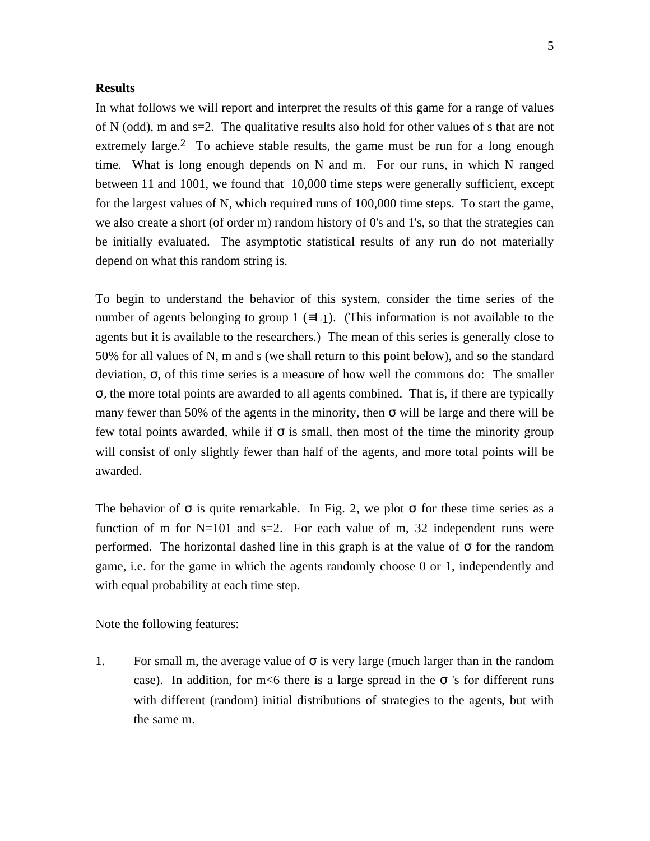# **Results**

In what follows we will report and interpret the results of this game for a range of values of N (odd), m and s=2. The qualitative results also hold for other values of s that are not extremely large.<sup>2</sup> To achieve stable results, the game must be run for a long enough time. What is long enough depends on N and m. For our runs, in which N ranged between 11 and 1001, we found that 10,000 time steps were generally sufficient, except for the largest values of N, which required runs of 100,000 time steps. To start the game, we also create a short (of order m) random history of 0's and 1's, so that the strategies can be initially evaluated. The asymptotic statistical results of any run do not materially depend on what this random string is.

To begin to understand the behavior of this system, consider the time series of the number of agents belonging to group 1 ( $\equiv L_1$ ). (This information is not available to the agents but it is available to the researchers.) The mean of this series is generally close to 50% for all values of N, m and s (we shall return to this point below), and so the standard deviation, σ, of this time series is a measure of how well the commons do: The smaller σ, the more total points are awarded to all agents combined. That is, if there are typically many fewer than 50% of the agents in the minority, then  $\sigma$  will be large and there will be few total points awarded, while if  $\sigma$  is small, then most of the time the minority group will consist of only slightly fewer than half of the agents, and more total points will be awarded.

The behavior of  $\sigma$  is quite remarkable. In Fig. 2, we plot  $\sigma$  for these time series as a function of m for  $N=101$  and  $s=2$ . For each value of m, 32 independent runs were performed. The horizontal dashed line in this graph is at the value of  $\sigma$  for the random game, i.e. for the game in which the agents randomly choose 0 or 1, independently and with equal probability at each time step.

Note the following features:

1. For small m, the average value of  $\sigma$  is very large (much larger than in the random case). In addition, for m<6 there is a large spread in the  $\sigma$  's for different runs with different (random) initial distributions of strategies to the agents, but with the same m.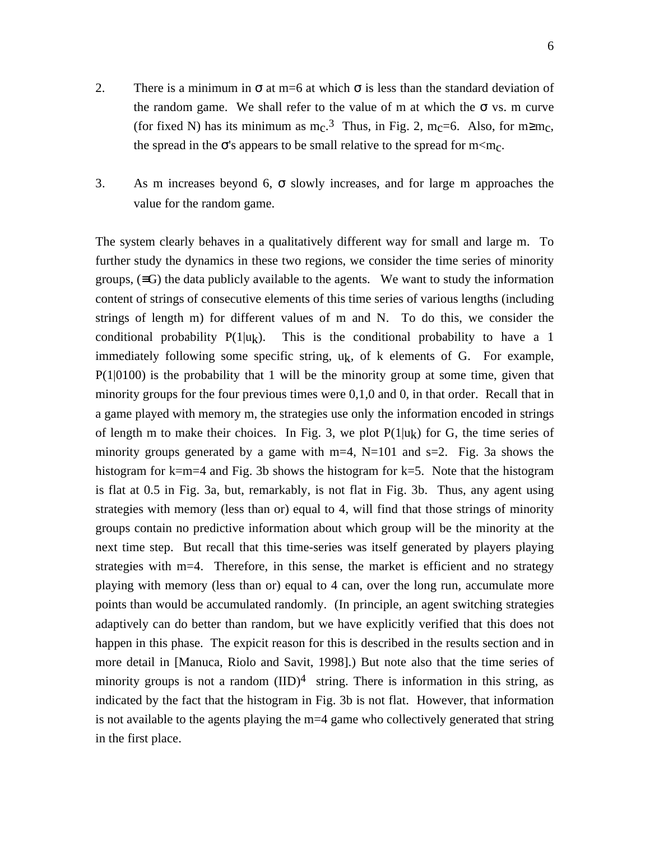- 2. There is a minimum in  $\sigma$  at m=6 at which  $\sigma$  is less than the standard deviation of the random game. We shall refer to the value of m at which the  $\sigma$  vs. m curve (for fixed N) has its minimum as  $m_c$ .<sup>3</sup> Thus, in Fig. 2,  $m_c$ =6. Also, for m≥m<sub>c</sub>, the spread in the  $\sigma$ 's appears to be small relative to the spread for m $\leq m_{\rm C}$ .
- 3. As m increases beyond 6, σ slowly increases, and for large m approaches the value for the random game.

The system clearly behaves in a qualitatively different way for small and large m. To further study the dynamics in these two regions, we consider the time series of minority groups,  $(\equiv G)$  the data publicly available to the agents. We want to study the information content of strings of consecutive elements of this time series of various lengths (including strings of length m) for different values of m and N. To do this, we consider the conditional probability  $P(1|u_k)$ . This is the conditional probability to have a 1 immediately following some specific string,  $u_k$ , of k elements of G. For example,  $P(1|0100)$  is the probability that 1 will be the minority group at some time, given that minority groups for the four previous times were 0,1,0 and 0, in that order. Recall that in a game played with memory m, the strategies use only the information encoded in strings of length m to make their choices. In Fig. 3, we plot  $P(1|u_k)$  for G, the time series of minority groups generated by a game with  $m=4$ ,  $N=101$  and  $s=2$ . Fig. 3a shows the histogram for k=m=4 and Fig. 3b shows the histogram for k=5. Note that the histogram is flat at 0.5 in Fig. 3a, but, remarkably, is not flat in Fig. 3b. Thus, any agent using strategies with memory (less than or) equal to 4, will find that those strings of minority groups contain no predictive information about which group will be the minority at the next time step. But recall that this time-series was itself generated by players playing strategies with m=4. Therefore, in this sense, the market is efficient and no strategy playing with memory (less than or) equal to 4 can, over the long run, accumulate more points than would be accumulated randomly. (In principle, an agent switching strategies adaptively can do better than random, but we have explicitly verified that this does not happen in this phase. The expicit reason for this is described in the results section and in more detail in [Manuca, Riolo and Savit, 1998].) But note also that the time series of minority groups is not a random  $(IID)^4$  string. There is information in this string, as indicated by the fact that the histogram in Fig. 3b is not flat. However, that information is not available to the agents playing the m=4 game who collectively generated that string in the first place.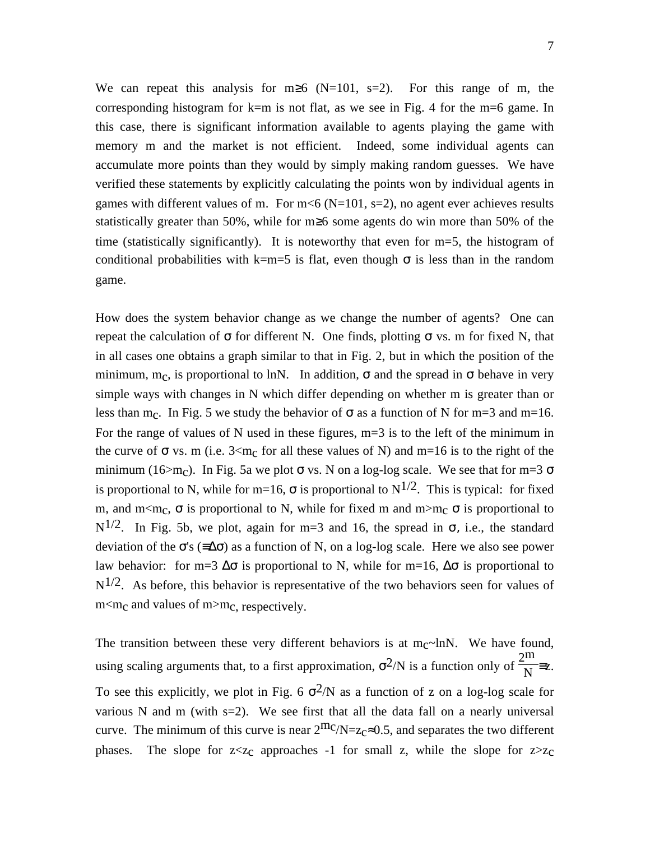We can repeat this analysis for m≥6 (N=101, s=2). For this range of m, the corresponding histogram for  $k=m$  is not flat, as we see in Fig. 4 for the m=6 game. In this case, there is significant information available to agents playing the game with memory m and the market is not efficient. Indeed, some individual agents can accumulate more points than they would by simply making random guesses. We have verified these statements by explicitly calculating the points won by individual agents in games with different values of m. For  $m \le 6$  (N=101, s=2), no agent ever achieves results statistically greater than 50%, while for m≥6 some agents do win more than 50% of the time (statistically significantly). It is noteworthy that even for  $m=5$ , the histogram of conditional probabilities with k=m=5 is flat, even though  $\sigma$  is less than in the random game.

How does the system behavior change as we change the number of agents? One can repeat the calculation of  $\sigma$  for different N. One finds, plotting  $\sigma$  vs. m for fixed N, that in all cases one obtains a graph similar to that in Fig. 2, but in which the position of the minimum, m<sub>c</sub>, is proportional to lnN. In addition,  $\sigma$  and the spread in  $\sigma$  behave in very simple ways with changes in N which differ depending on whether m is greater than or less than m<sub>c</sub>. In Fig. 5 we study the behavior of  $\sigma$  as a function of N for m=3 and m=16. For the range of values of N used in these figures, m=3 is to the left of the minimum in the curve of  $\sigma$  vs. m (i.e. 3<m<sub>c</sub> for all these values of N) and m=16 is to the right of the minimum (16>m<sub>c</sub>). In Fig. 5a we plot  $\sigma$  vs. N on a log-log scale. We see that for m=3  $\sigma$ is proportional to N, while for m=16,  $\sigma$  is proportional to N<sup>1/2</sup>. This is typical: for fixed m, and m $\leq m_c$ ,  $\sigma$  is proportional to N, while for fixed m and m $\geq m_c$   $\sigma$  is proportional to N<sup>1/2</sup>. In Fig. 5b, we plot, again for m=3 and 16, the spread in  $\sigma$ , i.e., the standard deviation of the  $\sigma$ 's ( $\equiv \Delta \sigma$ ) as a function of N, on a log-log scale. Here we also see power law behavior: for m=3  $\Delta\sigma$  is proportional to N, while for m=16,  $\Delta\sigma$  is proportional to  $N^{1/2}$ . As before, this behavior is representative of the two behaviors seen for values of  $m < m<sub>c</sub>$  and values of  $m > m<sub>c</sub>$ , respectively.

The transition between these very different behaviors is at  $m_c$ ~lnN. We have found, using scaling arguments that, to a first approximation,  $\sigma^2/N$  is a function only of  $\frac{2^m}{N}$ =z. To see this explicitly, we plot in Fig. 6  $\sigma^2/N$  as a function of z on a log-log scale for various N and m (with  $s=2$ ). We see first that all the data fall on a nearly universal curve. The minimum of this curve is near  $2^{\text{m}}c/\text{N}=z_c\approx 0.5$ , and separates the two different phases. The slope for  $z \ll z_c$  approaches -1 for small z, while the slope for  $z \gg z_c$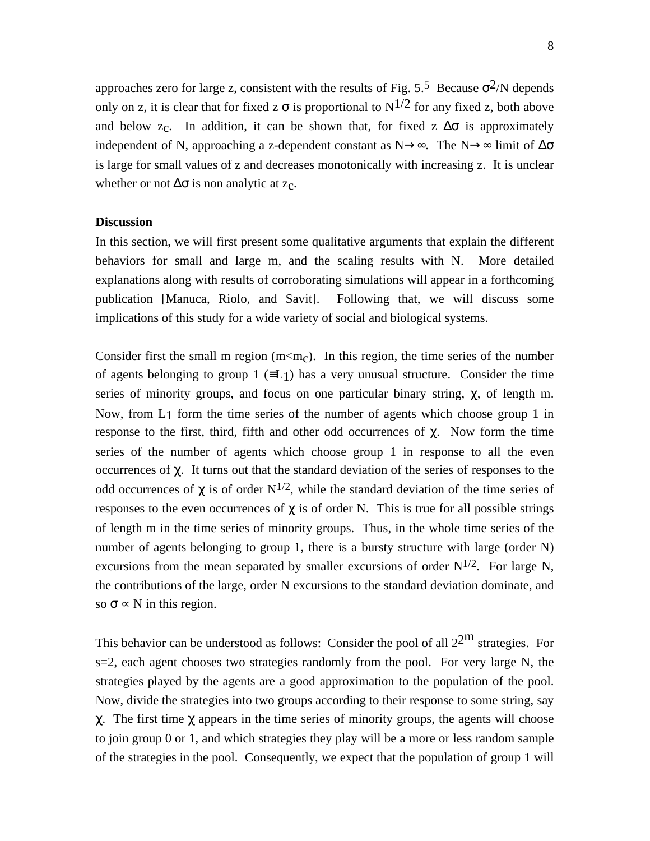approaches zero for large z, consistent with the results of Fig. 5.<sup>5</sup> Because  $\sigma^2/N$  depends only on z, it is clear that for fixed z  $\sigma$  is proportional to N<sup>1/2</sup> for any fixed z, both above and below z<sub>c</sub>. In addition, it can be shown that, for fixed z  $\Delta\sigma$  is approximately independent of N, approaching a z-dependent constant as N→∞. The N→∞ limit of  $\Delta \sigma$ is large for small values of z and decreases monotonically with increasing z. It is unclear whether or not  $\Delta \sigma$  is non analytic at z<sub>c</sub>.

## **Discussion**

In this section, we will first present some qualitative arguments that explain the different behaviors for small and large m, and the scaling results with N. More detailed explanations along with results of corroborating simulations will appear in a forthcoming publication [Manuca, Riolo, and Savit]. Following that, we will discuss some implications of this study for a wide variety of social and biological systems.

Consider first the small m region  $(m<sub>CDC</sub>)$ . In this region, the time series of the number of agents belonging to group 1 ( $\equiv$ L<sub>1</sub>) has a very unusual structure. Consider the time series of minority groups, and focus on one particular binary string,  $\chi$ , of length m. Now, from L1 form the time series of the number of agents which choose group 1 in response to the first, third, fifth and other odd occurrences of  $χ$ . Now form the time series of the number of agents which choose group 1 in response to all the even occurrences of  $\chi$ . It turns out that the standard deviation of the series of responses to the odd occurrences of  $\chi$  is of order N<sup>1/2</sup>, while the standard deviation of the time series of responses to the even occurrences of  $\chi$  is of order N. This is true for all possible strings of length m in the time series of minority groups. Thus, in the whole time series of the number of agents belonging to group 1, there is a bursty structure with large (order N) excursions from the mean separated by smaller excursions of order  $N^{1/2}$ . For large N, the contributions of the large, order N excursions to the standard deviation dominate, and so  $\sigma \propto N$  in this region.

This behavior can be understood as follows: Consider the pool of all  $2^{2m}$  strategies. For s=2, each agent chooses two strategies randomly from the pool. For very large N, the strategies played by the agents are a good approximation to the population of the pool. Now, divide the strategies into two groups according to their response to some string, say χ. The first time χ appears in the time series of minority groups, the agents will choose to join group 0 or 1, and which strategies they play will be a more or less random sample of the strategies in the pool. Consequently, we expect that the population of group 1 will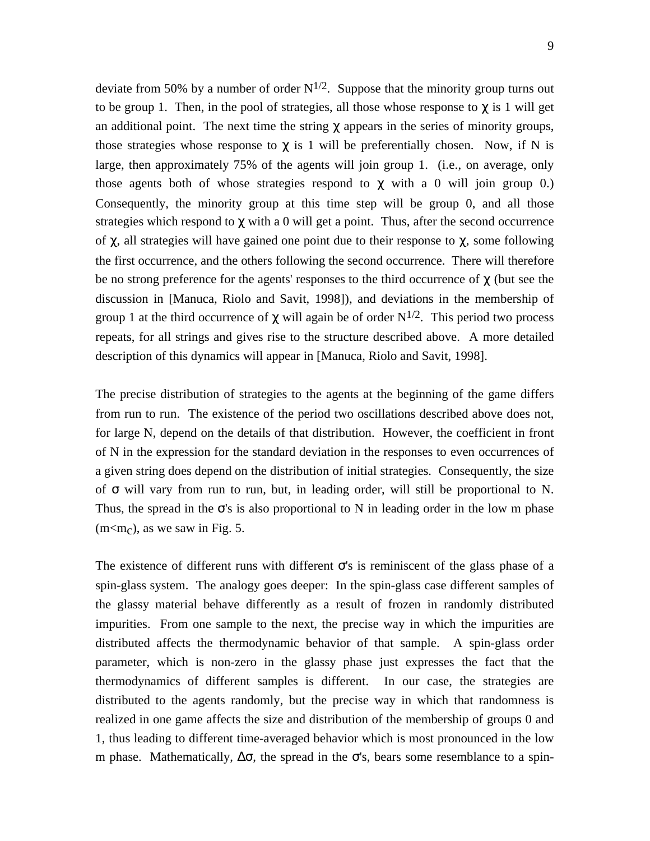deviate from 50% by a number of order  $N^{1/2}$ . Suppose that the minority group turns out to be group 1. Then, in the pool of strategies, all those whose response to  $\chi$  is 1 will get an additional point. The next time the string  $\chi$  appears in the series of minority groups, those strategies whose response to  $\chi$  is 1 will be preferentially chosen. Now, if N is large, then approximately 75% of the agents will join group 1. (i.e., on average, only those agents both of whose strategies respond to  $\chi$  with a 0 will join group 0.) Consequently, the minority group at this time step will be group 0, and all those strategies which respond to  $\chi$  with a 0 will get a point. Thus, after the second occurrence of  $\chi$ , all strategies will have gained one point due to their response to  $\chi$ , some following the first occurrence, and the others following the second occurrence. There will therefore be no strong preference for the agents' responses to the third occurrence of  $\chi$  (but see the discussion in [Manuca, Riolo and Savit, 1998]), and deviations in the membership of group 1 at the third occurrence of  $\chi$  will again be of order N<sup>1/2</sup>. This period two process repeats, for all strings and gives rise to the structure described above. A more detailed description of this dynamics will appear in [Manuca, Riolo and Savit, 1998].

The precise distribution of strategies to the agents at the beginning of the game differs from run to run. The existence of the period two oscillations described above does not, for large N, depend on the details of that distribution. However, the coefficient in front of N in the expression for the standard deviation in the responses to even occurrences of a given string does depend on the distribution of initial strategies. Consequently, the size of σ will vary from run to run, but, in leading order, will still be proportional to N. Thus, the spread in the  $\sigma$ 's is also proportional to N in leading order in the low m phase  $(m<sub>c</sub>)$ , as we saw in Fig. 5.

The existence of different runs with different  $\sigma$ 's is reminiscent of the glass phase of a spin-glass system. The analogy goes deeper: In the spin-glass case different samples of the glassy material behave differently as a result of frozen in randomly distributed impurities. From one sample to the next, the precise way in which the impurities are distributed affects the thermodynamic behavior of that sample. A spin-glass order parameter, which is non-zero in the glassy phase just expresses the fact that the thermodynamics of different samples is different. In our case, the strategies are distributed to the agents randomly, but the precise way in which that randomness is realized in one game affects the size and distribution of the membership of groups 0 and 1, thus leading to different time-averaged behavior which is most pronounced in the low m phase. Mathematically,  $\Delta \sigma$ , the spread in the  $\sigma$ 's, bears some resemblance to a spin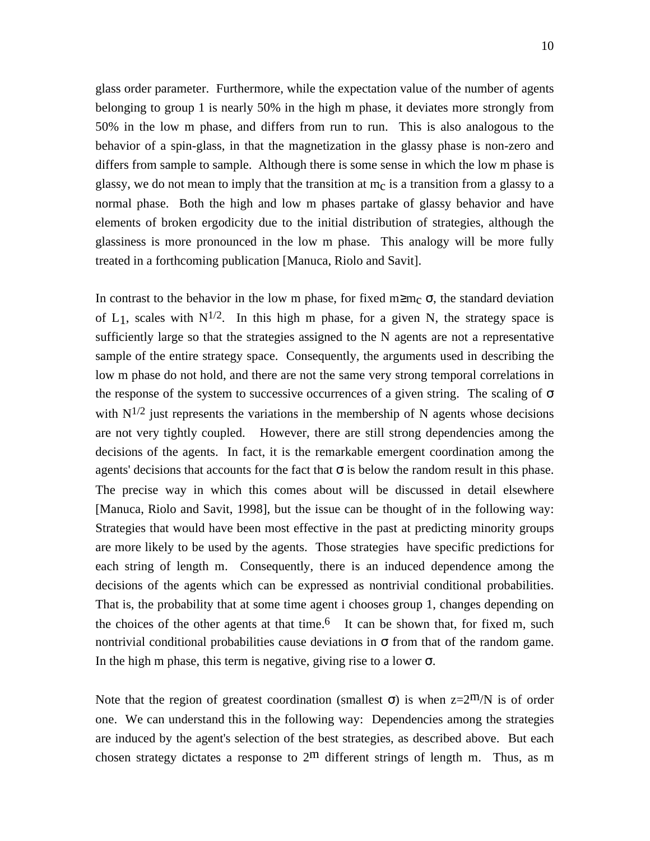glass order parameter. Furthermore, while the expectation value of the number of agents belonging to group 1 is nearly 50% in the high m phase, it deviates more strongly from 50% in the low m phase, and differs from run to run. This is also analogous to the behavior of a spin-glass, in that the magnetization in the glassy phase is non-zero and differs from sample to sample. Although there is some sense in which the low m phase is glassy, we do not mean to imply that the transition at  $m<sub>c</sub>$  is a transition from a glassy to a normal phase. Both the high and low m phases partake of glassy behavior and have elements of broken ergodicity due to the initial distribution of strategies, although the glassiness is more pronounced in the low m phase. This analogy will be more fully treated in a forthcoming publication [Manuca, Riolo and Savit].

In contrast to the behavior in the low m phase, for fixed m≥m<sub>c</sub>  $\sigma$ , the standard deviation of L<sub>1</sub>, scales with  $N^{1/2}$ . In this high m phase, for a given N, the strategy space is sufficiently large so that the strategies assigned to the N agents are not a representative sample of the entire strategy space. Consequently, the arguments used in describing the low m phase do not hold, and there are not the same very strong temporal correlations in the response of the system to successive occurrences of a given string. The scaling of  $\sigma$ with  $N^{1/2}$  just represents the variations in the membership of N agents whose decisions are not very tightly coupled. However, there are still strong dependencies among the decisions of the agents. In fact, it is the remarkable emergent coordination among the agents' decisions that accounts for the fact that  $\sigma$  is below the random result in this phase. The precise way in which this comes about will be discussed in detail elsewhere [Manuca, Riolo and Savit, 1998], but the issue can be thought of in the following way: Strategies that would have been most effective in the past at predicting minority groups are more likely to be used by the agents. Those strategies have specific predictions for each string of length m. Consequently, there is an induced dependence among the decisions of the agents which can be expressed as nontrivial conditional probabilities. That is, the probability that at some time agent i chooses group 1, changes depending on the choices of the other agents at that time.<sup>6</sup> It can be shown that, for fixed m, such nontrivial conditional probabilities cause deviations in  $\sigma$  from that of the random game. In the high m phase, this term is negative, giving rise to a lower  $\sigma$ .

Note that the region of greatest coordination (smallest  $\sigma$ ) is when z=2m/N is of order one. We can understand this in the following way: Dependencies among the strategies are induced by the agent's selection of the best strategies, as described above. But each chosen strategy dictates a response to  $2<sup>m</sup>$  different strings of length m. Thus, as m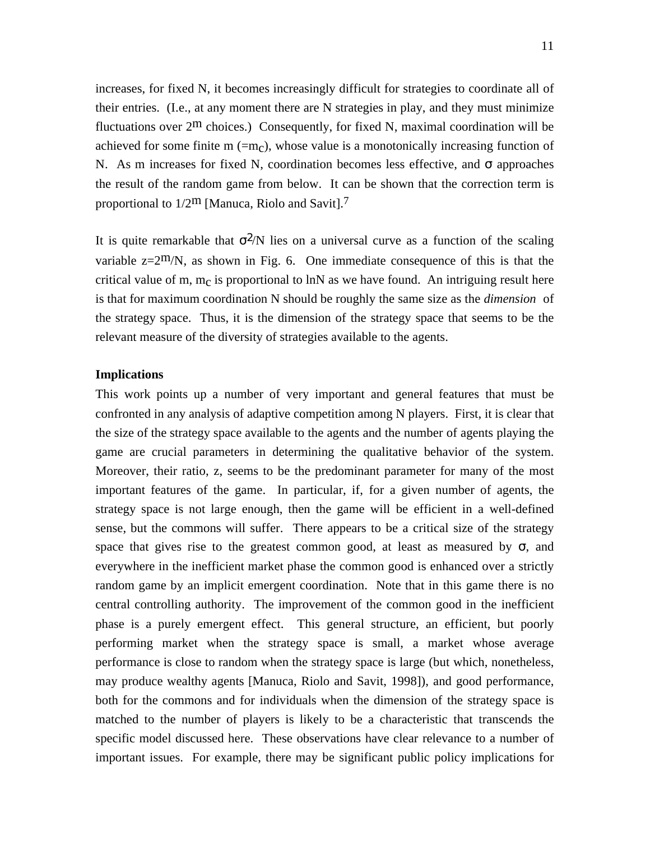increases, for fixed N, it becomes increasingly difficult for strategies to coordinate all of their entries. (I.e., at any moment there are N strategies in play, and they must minimize fluctuations over  $2^m$  choices.) Consequently, for fixed N, maximal coordination will be achieved for some finite m  $(=m<sub>c</sub>)$ , whose value is a monotonically increasing function of N. As m increases for fixed N, coordination becomes less effective, and  $\sigma$  approaches the result of the random game from below. It can be shown that the correction term is proportional to  $1/2^m$  [Manuca, Riolo and Savit].<sup>7</sup>

It is quite remarkable that  $\sigma^2/N$  lies on a universal curve as a function of the scaling variable  $z=2^m/N$ , as shown in Fig. 6. One immediate consequence of this is that the critical value of m,  $m<sub>C</sub>$  is proportional to lnN as we have found. An intriguing result here is that for maximum coordination N should be roughly the same size as the *dimension* of the strategy space. Thus, it is the dimension of the strategy space that seems to be the relevant measure of the diversity of strategies available to the agents.

#### **Implications**

This work points up a number of very important and general features that must be confronted in any analysis of adaptive competition among N players. First, it is clear that the size of the strategy space available to the agents and the number of agents playing the game are crucial parameters in determining the qualitative behavior of the system. Moreover, their ratio, z, seems to be the predominant parameter for many of the most important features of the game. In particular, if, for a given number of agents, the strategy space is not large enough, then the game will be efficient in a well-defined sense, but the commons will suffer. There appears to be a critical size of the strategy space that gives rise to the greatest common good, at least as measured by  $\sigma$ , and everywhere in the inefficient market phase the common good is enhanced over a strictly random game by an implicit emergent coordination. Note that in this game there is no central controlling authority. The improvement of the common good in the inefficient phase is a purely emergent effect. This general structure, an efficient, but poorly performing market when the strategy space is small, a market whose average performance is close to random when the strategy space is large (but which, nonetheless, may produce wealthy agents [Manuca, Riolo and Savit, 1998]), and good performance, both for the commons and for individuals when the dimension of the strategy space is matched to the number of players is likely to be a characteristic that transcends the specific model discussed here. These observations have clear relevance to a number of important issues. For example, there may be significant public policy implications for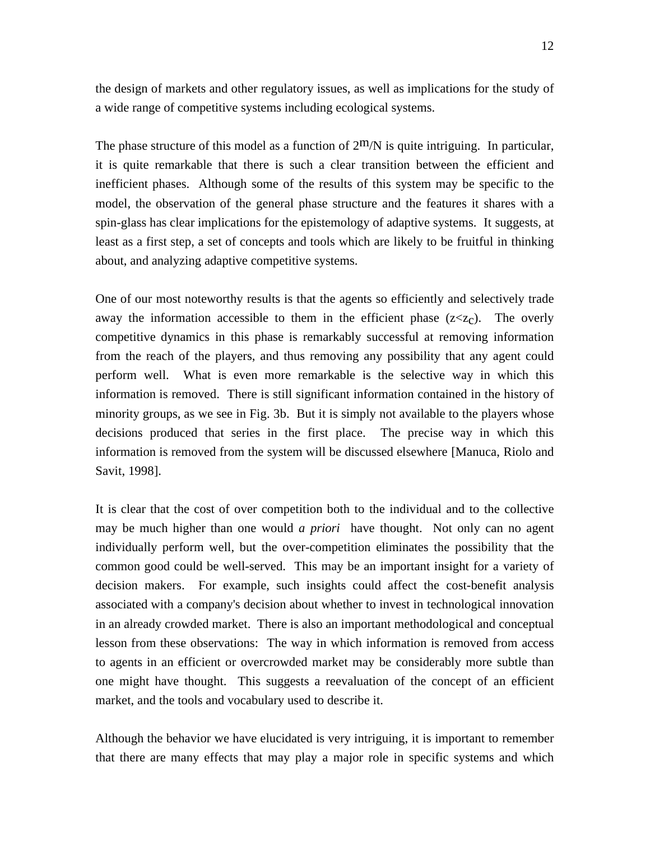the design of markets and other regulatory issues, as well as implications for the study of a wide range of competitive systems including ecological systems.

The phase structure of this model as a function of  $2^{\text{m}}/N$  is quite intriguing. In particular, it is quite remarkable that there is such a clear transition between the efficient and inefficient phases. Although some of the results of this system may be specific to the model, the observation of the general phase structure and the features it shares with a spin-glass has clear implications for the epistemology of adaptive systems. It suggests, at least as a first step, a set of concepts and tools which are likely to be fruitful in thinking about, and analyzing adaptive competitive systems.

One of our most noteworthy results is that the agents so efficiently and selectively trade away the information accessible to them in the efficient phase  $(z \lt z<sub>c</sub>)$ . The overly competitive dynamics in this phase is remarkably successful at removing information from the reach of the players, and thus removing any possibility that any agent could perform well. What is even more remarkable is the selective way in which this information is removed. There is still significant information contained in the history of minority groups, as we see in Fig. 3b. But it is simply not available to the players whose decisions produced that series in the first place. The precise way in which this information is removed from the system will be discussed elsewhere [Manuca, Riolo and Savit, 1998].

It is clear that the cost of over competition both to the individual and to the collective may be much higher than one would *a priori* have thought. Not only can no agent individually perform well, but the over-competition eliminates the possibility that the common good could be well-served. This may be an important insight for a variety of decision makers. For example, such insights could affect the cost-benefit analysis associated with a company's decision about whether to invest in technological innovation in an already crowded market. There is also an important methodological and conceptual lesson from these observations: The way in which information is removed from access to agents in an efficient or overcrowded market may be considerably more subtle than one might have thought. This suggests a reevaluation of the concept of an efficient market, and the tools and vocabulary used to describe it.

Although the behavior we have elucidated is very intriguing, it is important to remember that there are many effects that may play a major role in specific systems and which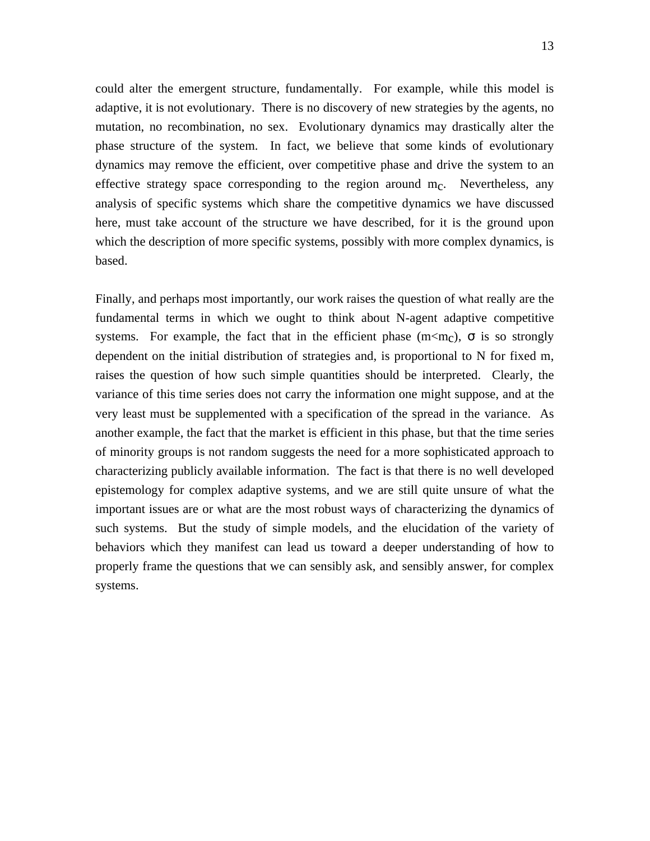could alter the emergent structure, fundamentally. For example, while this model is adaptive, it is not evolutionary. There is no discovery of new strategies by the agents, no mutation, no recombination, no sex. Evolutionary dynamics may drastically alter the phase structure of the system. In fact, we believe that some kinds of evolutionary dynamics may remove the efficient, over competitive phase and drive the system to an effective strategy space corresponding to the region around  $m<sub>C</sub>$ . Nevertheless, any analysis of specific systems which share the competitive dynamics we have discussed here, must take account of the structure we have described, for it is the ground upon which the description of more specific systems, possibly with more complex dynamics, is based.

Finally, and perhaps most importantly, our work raises the question of what really are the fundamental terms in which we ought to think about N-agent adaptive competitive systems. For example, the fact that in the efficient phase (m $\langle m \rangle$ ,  $\sigma$  is so strongly dependent on the initial distribution of strategies and, is proportional to N for fixed m, raises the question of how such simple quantities should be interpreted. Clearly, the variance of this time series does not carry the information one might suppose, and at the very least must be supplemented with a specification of the spread in the variance. As another example, the fact that the market is efficient in this phase, but that the time series of minority groups is not random suggests the need for a more sophisticated approach to characterizing publicly available information. The fact is that there is no well developed epistemology for complex adaptive systems, and we are still quite unsure of what the important issues are or what are the most robust ways of characterizing the dynamics of such systems. But the study of simple models, and the elucidation of the variety of behaviors which they manifest can lead us toward a deeper understanding of how to properly frame the questions that we can sensibly ask, and sensibly answer, for complex systems.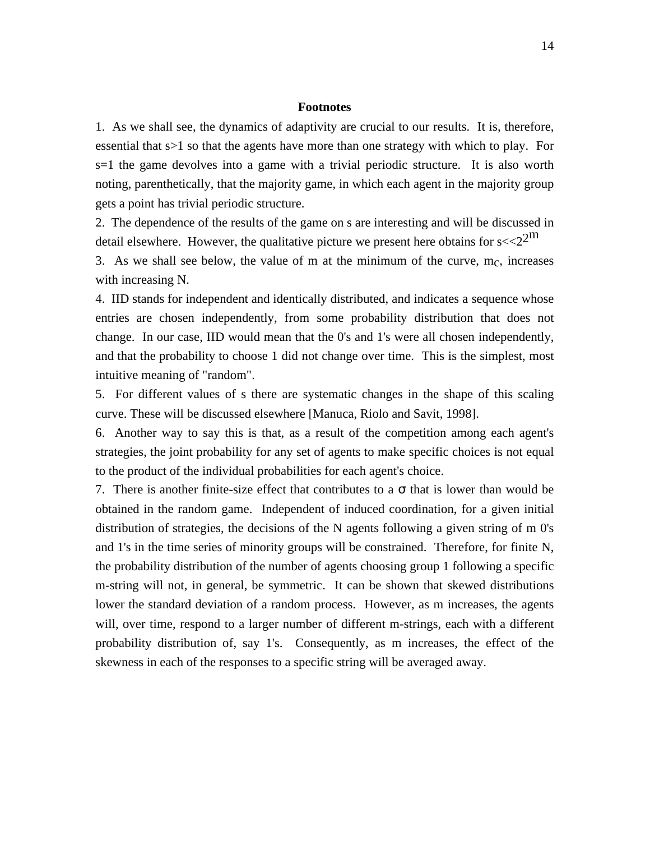#### **Footnotes**

1. As we shall see, the dynamics of adaptivity are crucial to our results. It is, therefore, essential that s>1 so that the agents have more than one strategy with which to play. For s=1 the game devolves into a game with a trivial periodic structure. It is also worth noting, parenthetically, that the majority game, in which each agent in the majority group gets a point has trivial periodic structure.

2. The dependence of the results of the game on s are interesting and will be discussed in detail elsewhere. However, the qualitative picture we present here obtains for  $s < 2<sup>2</sup>$ 

3. As we shall see below, the value of m at the minimum of the curve,  $m<sub>c</sub>$ , increases with increasing N.

4. IID stands for independent and identically distributed, and indicates a sequence whose entries are chosen independently, from some probability distribution that does not change. In our case, IID would mean that the 0's and 1's were all chosen independently, and that the probability to choose 1 did not change over time. This is the simplest, most intuitive meaning of "random".

5. For different values of s there are systematic changes in the shape of this scaling curve. These will be discussed elsewhere [Manuca, Riolo and Savit, 1998].

6. Another way to say this is that, as a result of the competition among each agent's strategies, the joint probability for any set of agents to make specific choices is not equal to the product of the individual probabilities for each agent's choice.

7. There is another finite-size effect that contributes to a  $\sigma$  that is lower than would be obtained in the random game. Independent of induced coordination, for a given initial distribution of strategies, the decisions of the N agents following a given string of m 0's and 1's in the time series of minority groups will be constrained. Therefore, for finite N, the probability distribution of the number of agents choosing group 1 following a specific m-string will not, in general, be symmetric. It can be shown that skewed distributions lower the standard deviation of a random process. However, as m increases, the agents will, over time, respond to a larger number of different m-strings, each with a different probability distribution of, say 1's. Consequently, as m increases, the effect of the skewness in each of the responses to a specific string will be averaged away.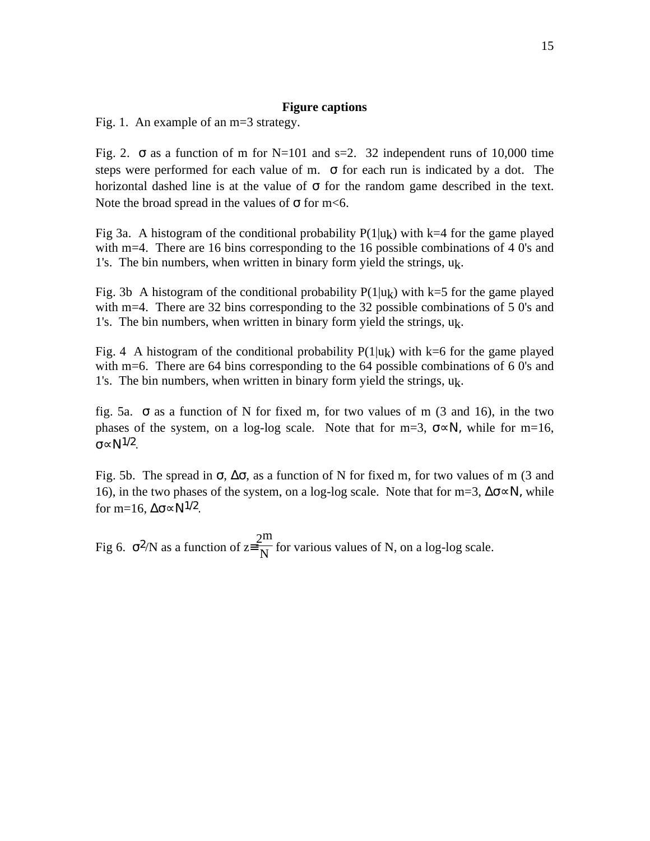# **Figure captions**

Fig. 1. An example of an m=3 strategy.

Fig. 2.  $\sigma$  as a function of m for N=101 and s=2. 32 independent runs of 10,000 time steps were performed for each value of m.  $\sigma$  for each run is indicated by a dot. The horizontal dashed line is at the value of  $\sigma$  for the random game described in the text. Note the broad spread in the values of  $\sigma$  for m<6.

Fig 3a. A histogram of the conditional probability  $P(1|u_k)$  with k=4 for the game played with m=4. There are 16 bins corresponding to the 16 possible combinations of 4 0's and 1's. The bin numbers, when written in binary form yield the strings,  $u_k$ .

Fig. 3b A histogram of the conditional probability  $P(1|u_k)$  with k=5 for the game played with m=4. There are 32 bins corresponding to the 32 possible combinations of 5 0's and 1's. The bin numbers, when written in binary form yield the strings, uk.

Fig. 4 A histogram of the conditional probability  $P(1|u_k)$  with k=6 for the game played with m=6. There are 64 bins corresponding to the 64 possible combinations of 6 0's and 1's. The bin numbers, when written in binary form yield the strings,  $u_k$ .

fig. 5a.  $\sigma$  as a function of N for fixed m, for two values of m (3 and 16), in the two phases of the system, on a log-log scale. Note that for m=3,  $\sigma \propto N$ , while for m=16, σ∝Ν1/2.

Fig. 5b. The spread in  $\sigma$ ,  $\Delta\sigma$ , as a function of N for fixed m, for two values of m (3 and 16), in the two phases of the system, on a log-log scale. Note that for m=3,  $\Delta \sigma \sim N$ , while for m=16,  $\Delta \sigma \propto N^{1/2}$ .

Fig 6.  $\sigma^2/N$  as a function of  $z = \frac{2m}{N}$  $\frac{1}{N}$  for various values of N, on a log-log scale.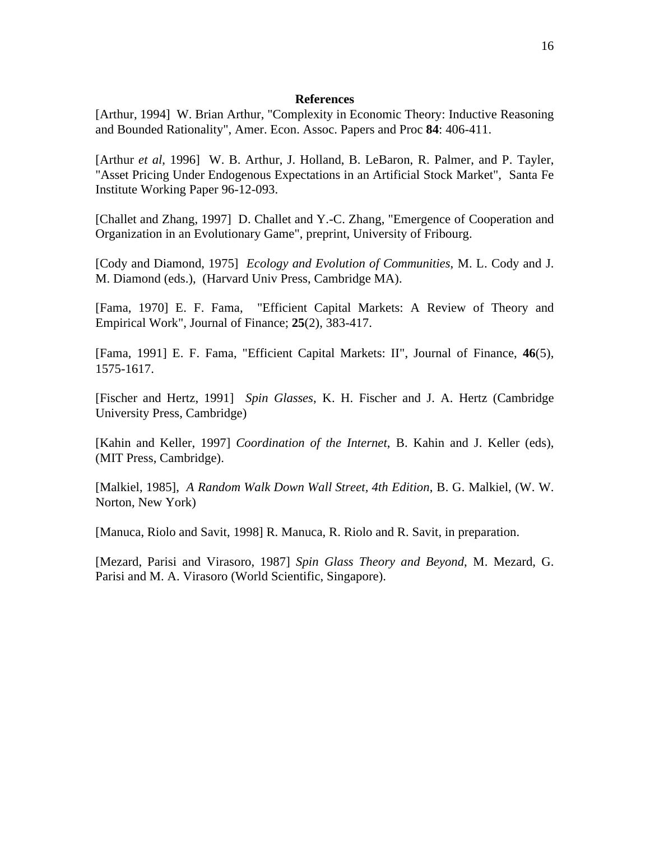#### **References**

[Arthur, 1994] W. Brian Arthur, "Complexity in Economic Theory: Inductive Reasoning and Bounded Rationality", Amer. Econ. Assoc. Papers and Proc **84**: 406-411.

[Arthur *et al*, 1996] W. B. Arthur, J. Holland, B. LeBaron, R. Palmer, and P. Tayler, "Asset Pricing Under Endogenous Expectations in an Artificial Stock Market", Santa Fe Institute Working Paper 96-12-093.

[Challet and Zhang, 1997] D. Challet and Y.-C. Zhang, "Emergence of Cooperation and Organization in an Evolutionary Game", preprint, University of Fribourg.

[Cody and Diamond, 1975] *Ecology and Evolution of Communities*, M. L. Cody and J. M. Diamond (eds.), (Harvard Univ Press, Cambridge MA).

[Fama, 1970] E. F. Fama, "Efficient Capital Markets: A Review of Theory and Empirical Work", Journal of Finance; **25**(2), 383-417.

[Fama, 1991] E. F. Fama, "Efficient Capital Markets: II", Journal of Finance, **46**(5), 1575-1617.

[Fischer and Hertz, 1991] *Spin Glasses*, K. H. Fischer and J. A. Hertz (Cambridge University Press, Cambridge)

[Kahin and Keller, 1997] *Coordination of the Internet*, B. Kahin and J. Keller (eds), (MIT Press, Cambridge).

[Malkiel, 1985], *A Random Walk Down Wall Street, 4th Edition*, B. G. Malkiel, (W. W. Norton, New York)

[Manuca, Riolo and Savit, 1998] R. Manuca, R. Riolo and R. Savit, in preparation.

[Mezard, Parisi and Virasoro, 1987] *Spin Glass Theory and Beyond*, M. Mezard, G. Parisi and M. A. Virasoro (World Scientific, Singapore).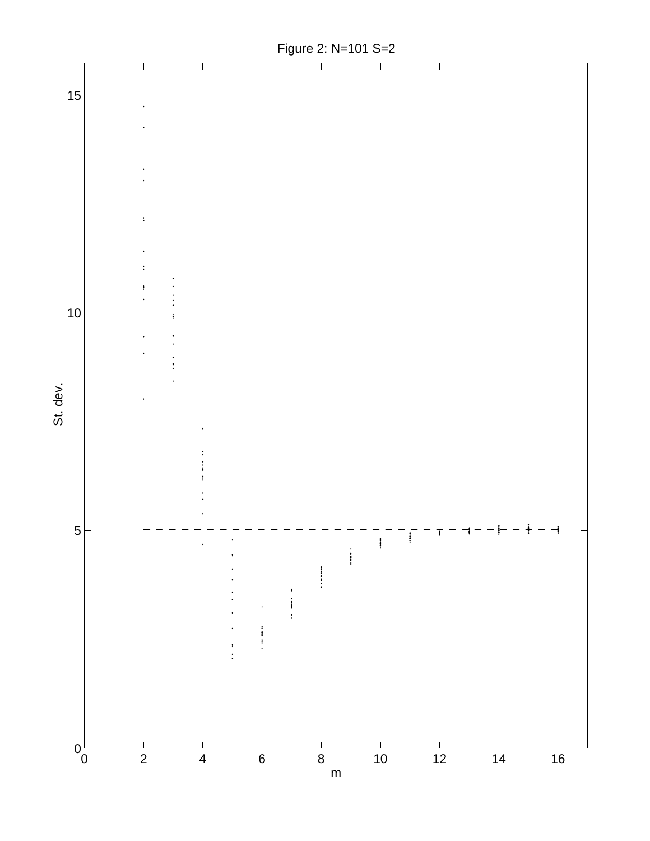

Figure 2: N=101 S=2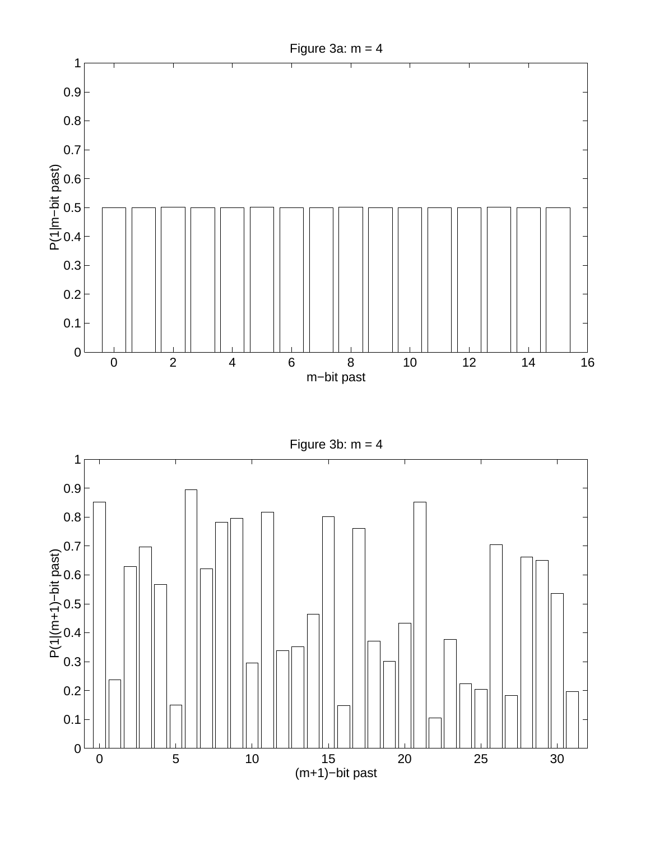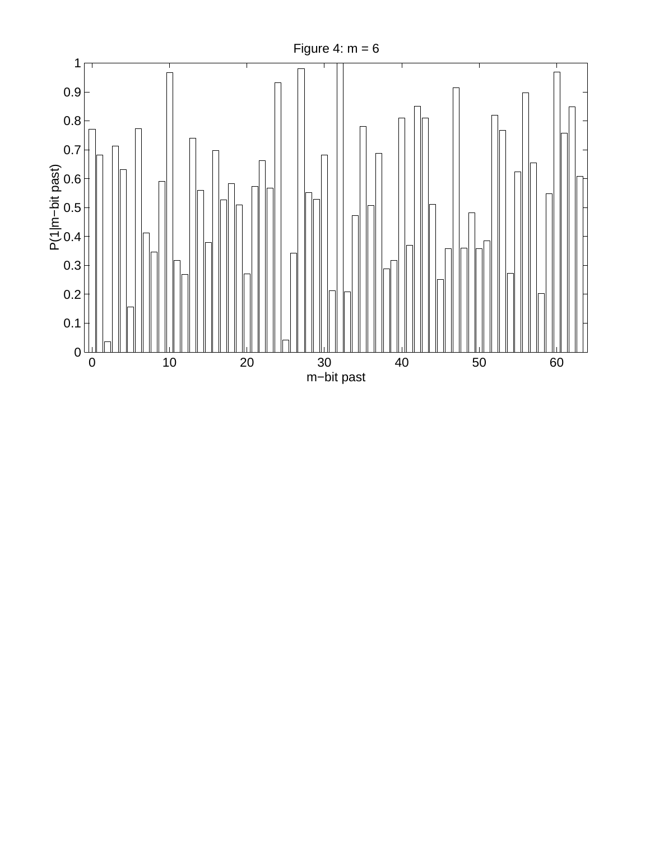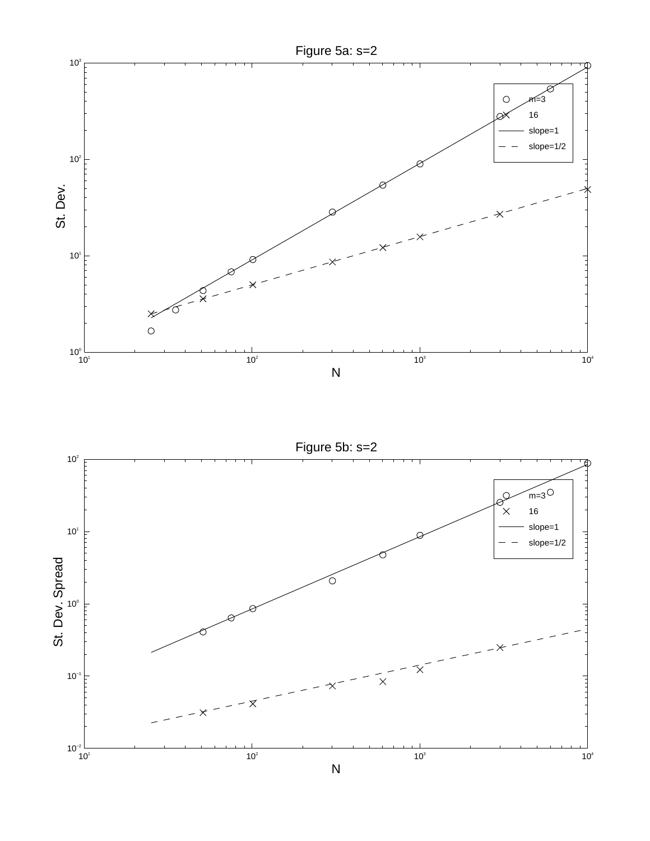